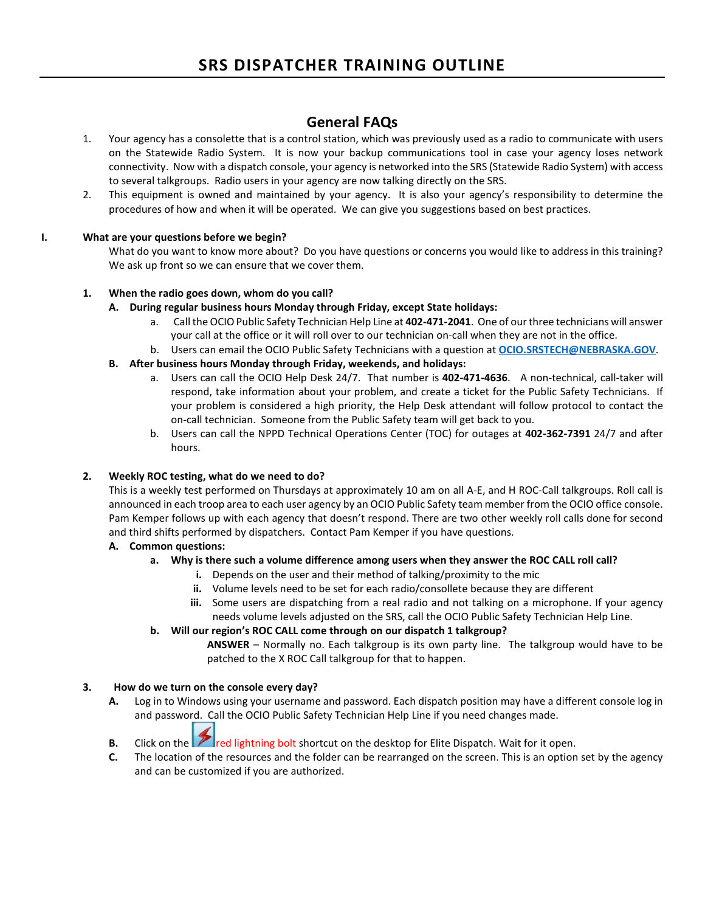# **General FAQs**

- 1. Your agency has a consolette that is a control station, which was previously used as a radio to communicate with users on the Statewide Radio System. It is now your backup communications tool in case your agency loses network connectivity. Now with a dispatch console, your agency is networked into the SRS (Statewide Radio System) with access to several talkgroups. Radio users in your agency are now talking directly on the SRS.
- 2. This equipment is owned and maintained by your agency. It is also your agency's responsibility to determine the procedures of how and when it will be operated. We can give you suggestions based on best practices.

# **I. What are your questions before we begin?**

What do you want to know more about? Do you have questions or concerns you would like to address in this training? We ask up front so we can ensure that we cover them.

# **1. When the radio goes down, whom do you call?**

- **A. During regular business hours Monday through Friday, except State holidays:**
	- a. Call the OCIO Public Safety Technician Help Line at **402-471-2041**. One of our three technicians will answer your call at the office or it will roll over to our technician on-call when they are not in the office.
	- b. Users can email the OCIO Public Safety Technicians with a question at **[OCIO.SRSTECH@NEBRASKA.GOV](mailto:OCIO.SRSTECH@NEBRASKA.GOV)**.
- **B. After business hours Monday through Friday, weekends, and holidays:**
	- a. Users can call the OCIO Help Desk 24/7. That number is **402-471-4636**. A non-technical, call-taker will respond, take information about your problem, and create a ticket for the Public Safety Technicians. If your problem is considered a high priority, the Help Desk attendant will follow protocol to contact the on-call technician. Someone from the Public Safety team will get back to you.
	- b. Users can call the NPPD Technical Operations Center (TOC) for outages at **402-362-7391** 24/7 and after hours.

### **2. Weekly ROC testing, what do we need to do?**

This is a weekly test performed on Thursdays at approximately 10 am on all A-E, and H ROC-Call talkgroups. Roll call is announced in each troop area to each user agency by an OCIO Public Safety team member from the OCIO office console. Pam Kemper follows up with each agency that doesn't respond. There are two other weekly roll calls done for second and third shifts performed by dispatchers. Contact Pam Kemper if you have questions.

# **A. Common questions:**

### **a. Why is there such a volume difference among users when they answer the ROC CALL roll call?**

- **i.** Depends on the user and their method of talking/proximity to the mic
- **ii.** Volume levels need to be set for each radio/consollete because they are different
- **iii.** Some users are dispatching from a real radio and not talking on a microphone. If your agency needs volume levels adjusted on the SRS, call the OCIO Public Safety Technician Help Line.

### **b. Will our region's ROC CALL come through on our dispatch 1 talkgroup?**

**ANSWER** – Normally no. Each talkgroup is its own party line. The talkgroup would have to be patched to the X ROC Call talkgroup for that to happen.

### **3. How do we turn on the console every day?**

**A.** Log in to Windows using your username and password. Each dispatch position may have a different console log in and password. Call the OCIO Public Safety Technician Help Line if you need changes made.

# **B.** Click on the **red lightning bolt shortcut on the desktop for Elite Dispatch. Wait for it open.**

**C.** The location of the resources and the folder can be rearranged on the screen. This is an option set by the agency and can be customized if you are authorized.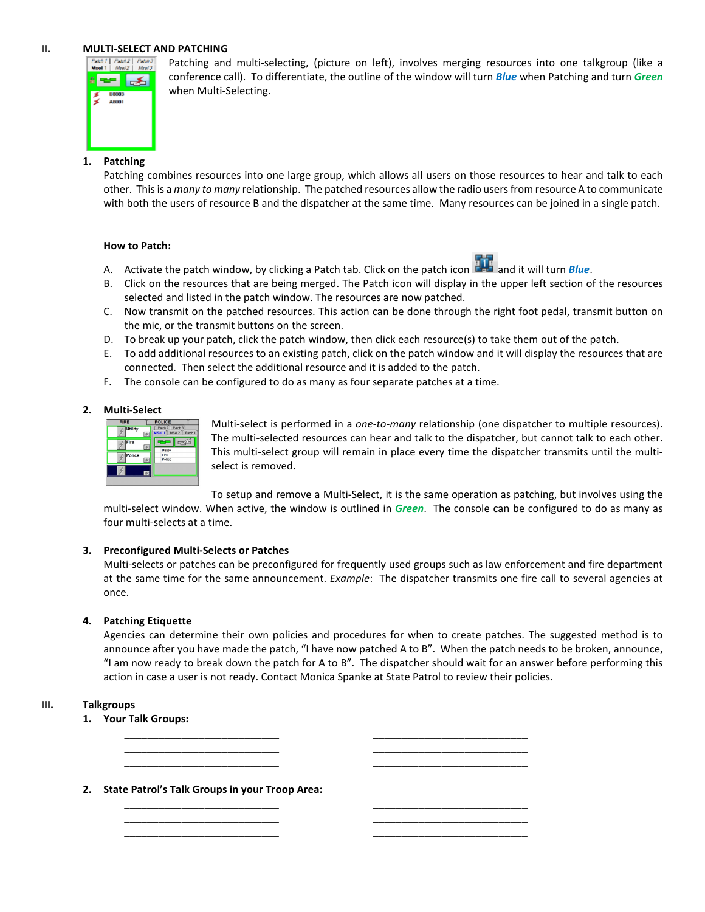### **II. MULTI-SELECT AND PATCHING**



Patching and multi-selecting, (picture on left), involves merging resources into one talkgroup (like a conference call). To differentiate, the outline of the window will turn *Blue* when Patching and turn *Green* when Multi-Selecting.

## **1. Patching**

Patching combines resources into one large group, which allows all users on those resources to hear and talk to each other. This is a *many to many* relationship. The patched resources allow the radio users from resource A to communicate with both the users of resource B and the dispatcher at the same time. Many resources can be joined in a single patch.

#### **How to Patch:**

- A. Activate the patch window, by clicking a Patch tab. Click on the patch icon **and it and it will turn** *Blue*.
- B. Click on the resources that are being merged. The Patch icon will display in the upper left section of the resources selected and listed in the patch window. The resources are now patched.
- C. Now transmit on the patched resources. This action can be done through the right foot pedal, transmit button on the mic, or the transmit buttons on the screen.
- D. To break up your patch, click the patch window, then click each resource(s) to take them out of the patch.
- E. To add additional resources to an existing patch, click on the patch window and it will display the resources that are connected. Then select the additional resource and it is added to the patch.
- F. The console can be configured to do as many as four separate patches at a time.

### **2. Multi-Select**



Multi-select is performed in a *one-to-many* relationship (one dispatcher to multiple resources). The multi-selected resources can hear and talk to the dispatcher, but cannot talk to each other. This multi-select group will remain in place every time the dispatcher transmits until the multiselect is removed.

To setup and remove a Multi-Select, it is the same operation as patching, but involves using the multi-select window. When active, the window is outlined in *Green*. The console can be configured to do as many as four multi-selects at a time.

### **3. Preconfigured Multi-Selects or Patches**

Multi-selects or patches can be preconfigured for frequently used groups such as law enforcement and fire department at the same time for the same announcement. *Example*: The dispatcher transmits one fire call to several agencies at once.

### **4. Patching Etiquette**

Agencies can determine their own policies and procedures for when to create patches. The suggested method is to announce after you have made the patch, "I have now patched A to B". When the patch needs to be broken, announce, "I am now ready to break down the patch for A to B". The dispatcher should wait for an answer before performing this action in case a user is not ready. Contact Monica Spanke at State Patrol to review their policies.

\_\_\_\_\_\_\_\_\_\_\_\_\_\_\_\_\_\_\_\_\_\_\_\_\_\_\_ \_\_\_\_\_\_\_\_\_\_\_\_\_\_\_\_\_\_\_\_\_\_\_\_\_\_\_ \_\_\_\_\_\_\_\_\_\_\_\_\_\_\_\_\_\_\_\_\_\_\_\_\_\_\_ \_\_\_\_\_\_\_\_\_\_\_\_\_\_\_\_\_\_\_\_\_\_\_\_\_\_\_ \_\_\_\_\_\_\_\_\_\_\_\_\_\_\_\_\_\_\_\_\_\_\_\_\_\_\_ \_\_\_\_\_\_\_\_\_\_\_\_\_\_\_\_\_\_\_\_\_\_\_\_\_\_\_

\_\_\_\_\_\_\_\_\_\_\_\_\_\_\_\_\_\_\_\_\_\_\_\_\_\_\_ \_\_\_\_\_\_\_\_\_\_\_\_\_\_\_\_\_\_\_\_\_\_\_\_\_\_\_ \_\_\_\_\_\_\_\_\_\_\_\_\_\_\_\_\_\_\_\_\_\_\_\_\_\_\_ \_\_\_\_\_\_\_\_\_\_\_\_\_\_\_\_\_\_\_\_\_\_\_\_\_\_\_ \_\_\_\_\_\_\_\_\_\_\_\_\_\_\_\_\_\_\_\_\_\_\_\_\_\_\_ \_\_\_\_\_\_\_\_\_\_\_\_\_\_\_\_\_\_\_\_\_\_\_\_\_\_\_

#### **III. Talkgroups**

- **1. Your Talk Groups:**
- **2. State Patrol's Talk Groups in your Troop Area:**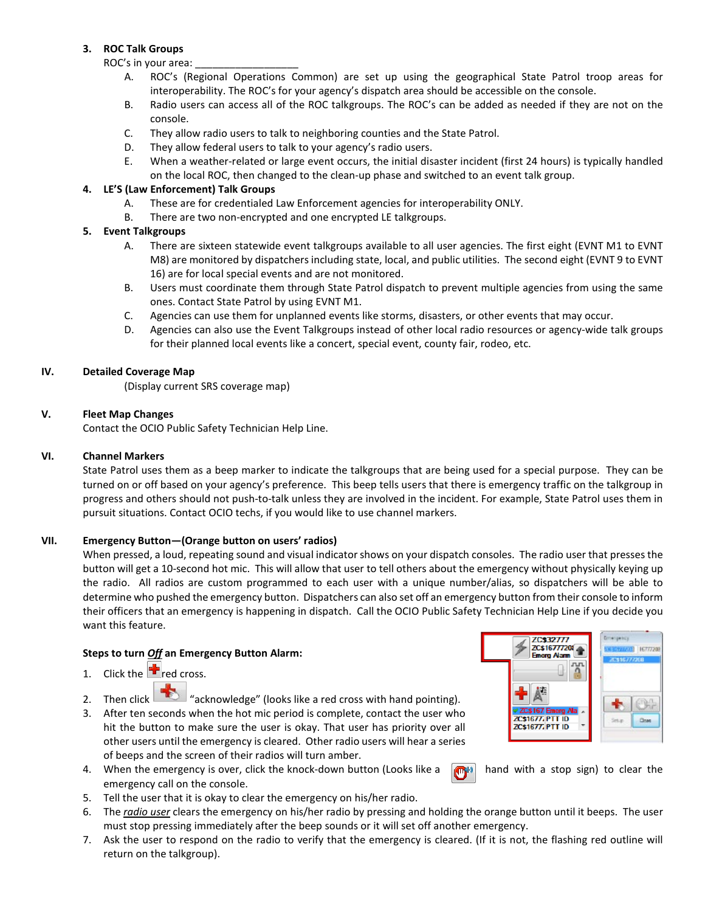### **3. ROC Talk Groups**

ROC's in your area:

- A. ROC's (Regional Operations Common) are set up using the geographical State Patrol troop areas for interoperability. The ROC's for your agency's dispatch area should be accessible on the console.
- B. Radio users can access all of the ROC talkgroups. The ROC's can be added as needed if they are not on the console.
- C. They allow radio users to talk to neighboring counties and the State Patrol.
- D. They allow federal users to talk to your agency's radio users.
- E. When a weather-related or large event occurs, the initial disaster incident (first 24 hours) is typically handled on the local ROC, then changed to the clean-up phase and switched to an event talk group.

### **4. LE'S (Law Enforcement) Talk Groups**

- A. These are for credentialed Law Enforcement agencies for interoperability ONLY.
- B. There are two non-encrypted and one encrypted LE talkgroups.

### **5. Event Talkgroups**

- A. There are sixteen statewide event talkgroups available to all user agencies. The first eight (EVNT M1 to EVNT M8) are monitored by dispatchers including state, local, and public utilities. The second eight (EVNT 9 to EVNT 16) are for local special events and are not monitored.
- B. Users must coordinate them through State Patrol dispatch to prevent multiple agencies from using the same ones. Contact State Patrol by using EVNT M1.
- C. Agencies can use them for unplanned events like storms, disasters, or other events that may occur.
- D. Agencies can also use the Event Talkgroups instead of other local radio resources or agency-wide talk groups for their planned local events like a concert, special event, county fair, rodeo, etc.

#### **IV. Detailed Coverage Map**

(Display current SRS coverage map)

#### **V. Fleet Map Changes**

Contact the OCIO Public Safety Technician Help Line.

#### **VI. Channel Markers**

State Patrol uses them as a beep marker to indicate the talkgroups that are being used for a special purpose. They can be turned on or off based on your agency's preference. This beep tells users that there is emergency traffic on the talkgroup in progress and others should not push-to-talk unless they are involved in the incident. For example, State Patrol uses them in pursuit situations. Contact OCIO techs, if you would like to use channel markers.

#### **VII. Emergency Button—(Orange button on users' radios)**

When pressed, a loud, repeating sound and visual indicator shows on your dispatch consoles. The radio user that presses the button will get a 10-second hot mic. This will allow that user to tell others about the emergency without physically keying up the radio. All radios are custom programmed to each user with a unique number/alias, so dispatchers will be able to determine who pushed the emergency button. Dispatchers can also set off an emergency button from their console to inform their officers that an emergency is happening in dispatch. Call the OCIO Public Safety Technician Help Line if you decide you want this feature.

### **Steps to turn** *Off* **an Emergency Button Alarm:**

- 1. Click the  $\mathbf{r}_{\text{red cross}}$ .
- 2. Then click  $\left| \frac{1}{\sqrt{2}} \right|$  "acknowledge" (looks like a red cross with hand pointing).
- 3. After ten seconds when the hot mic period is complete, contact the user who hit the button to make sure the user is okay. That user has priority over all other users until the emergency is cleared. Other radio users will hear a series of beeps and the screen of their radios will turn amber.
- 4. When the emergency is over, click the knock-down button (Looks like a  $\Box$ n) hand with a stop sign) to clear the emergency call on the console.
- 5. Tell the user that it is okay to clear the emergency on his/her radio.
- 6. The *radio user* clears the emergency on his/her radio by pressing and holding the orange button until it beeps. The user must stop pressing immediately after the beep sounds or it will set off another emergency.
- 7. Ask the user to respond on the radio to verify that the emergency is cleared. (If it is not, the flashing red outline will return on the talkgroup).

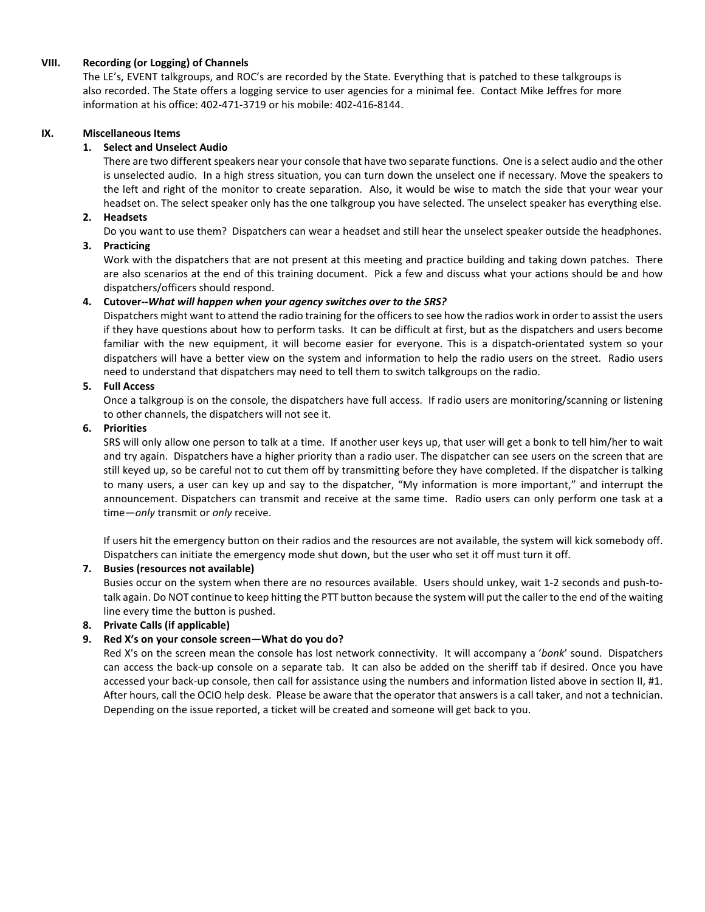## **VIII. Recording (or Logging) of Channels**

The LE's, EVENT talkgroups, and ROC's are recorded by the State. Everything that is patched to these talkgroups is also recorded. The State offers a logging service to user agencies for a minimal fee. Contact Mike Jeffres for more information at his office: 402-471-3719 or his mobile: 402-416-8144.

#### **IX. Miscellaneous Items**

#### **1. Select and Unselect Audio**

There are two different speakers near your console that have two separate functions. One is a select audio and the other is unselected audio. In a high stress situation, you can turn down the unselect one if necessary. Move the speakers to the left and right of the monitor to create separation. Also, it would be wise to match the side that your wear your headset on. The select speaker only has the one talkgroup you have selected. The unselect speaker has everything else.

#### **2. Headsets**

Do you want to use them? Dispatchers can wear a headset and still hear the unselect speaker outside the headphones.

#### **3. Practicing**

Work with the dispatchers that are not present at this meeting and practice building and taking down patches. There are also scenarios at the end of this training document. Pick a few and discuss what your actions should be and how dispatchers/officers should respond.

#### **4. Cutover--***What will happen when your agency switches over to the SRS?*

Dispatchers might want to attend the radio training for the officers to see how the radios work in order to assist the users if they have questions about how to perform tasks. It can be difficult at first, but as the dispatchers and users become familiar with the new equipment, it will become easier for everyone. This is a dispatch-orientated system so your dispatchers will have a better view on the system and information to help the radio users on the street. Radio users need to understand that dispatchers may need to tell them to switch talkgroups on the radio.

#### **5. Full Access**

Once a talkgroup is on the console, the dispatchers have full access. If radio users are monitoring/scanning or listening to other channels, the dispatchers will not see it.

#### **6. Priorities**

SRS will only allow one person to talk at a time. If another user keys up, that user will get a bonk to tell him/her to wait and try again. Dispatchers have a higher priority than a radio user. The dispatcher can see users on the screen that are still keyed up, so be careful not to cut them off by transmitting before they have completed. If the dispatcher is talking to many users, a user can key up and say to the dispatcher, "My information is more important," and interrupt the announcement. Dispatchers can transmit and receive at the same time. Radio users can only perform one task at a time—*only* transmit or *only* receive.

If users hit the emergency button on their radios and the resources are not available, the system will kick somebody off. Dispatchers can initiate the emergency mode shut down, but the user who set it off must turn it off.

### **7. Busies (resources not available)**

Busies occur on the system when there are no resources available. Users should unkey, wait 1-2 seconds and push-totalk again. Do NOT continue to keep hitting the PTT button because the system will put the caller to the end of the waiting line every time the button is pushed.

### **8. Private Calls (if applicable)**

### **9. Red X's on your console screen—What do you do?**

Red X's on the screen mean the console has lost network connectivity. It will accompany a '*bonk*' sound. Dispatchers can access the back-up console on a separate tab. It can also be added on the sheriff tab if desired. Once you have accessed your back-up console, then call for assistance using the numbers and information listed above in section II, #1. After hours, call the OCIO help desk. Please be aware that the operator that answers is a call taker, and not a technician. Depending on the issue reported, a ticket will be created and someone will get back to you.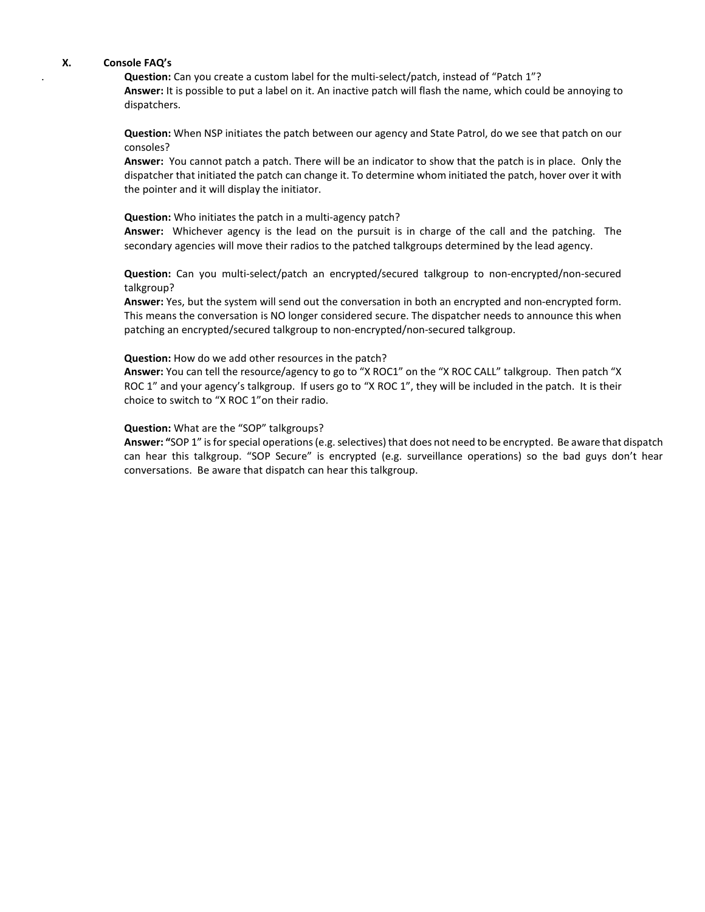#### **X. Console FAQ's**

. **Question:** Can you create a custom label for the multi-select/patch, instead of "Patch 1"? **Answer:** It is possible to put a label on it. An inactive patch will flash the name, which could be annoying to dispatchers.

**Question:** When NSP initiates the patch between our agency and State Patrol, do we see that patch on our consoles?

**Answer:** You cannot patch a patch. There will be an indicator to show that the patch is in place. Only the dispatcher that initiated the patch can change it. To determine whom initiated the patch, hover over it with the pointer and it will display the initiator.

**Question:** Who initiates the patch in a multi-agency patch?

**Answer:** Whichever agency is the lead on the pursuit is in charge of the call and the patching. The secondary agencies will move their radios to the patched talkgroups determined by the lead agency.

**Question:** Can you multi-select/patch an encrypted/secured talkgroup to non-encrypted/non-secured talkgroup?

**Answer:** Yes, but the system will send out the conversation in both an encrypted and non-encrypted form. This means the conversation is NO longer considered secure. The dispatcher needs to announce this when patching an encrypted/secured talkgroup to non-encrypted/non-secured talkgroup.

#### **Question:** How do we add other resources in the patch?

**Answer:** You can tell the resource/agency to go to "X ROC1" on the "X ROC CALL" talkgroup. Then patch "X ROC 1" and your agency's talkgroup. If users go to "X ROC 1", they will be included in the patch. It is their choice to switch to "X ROC 1"on their radio.

#### **Question:** What are the "SOP" talkgroups?

**Answer: "**SOP 1" is for special operations (e.g. selectives) that does not need to be encrypted. Be aware that dispatch can hear this talkgroup. "SOP Secure" is encrypted (e.g. surveillance operations) so the bad guys don't hear conversations. Be aware that dispatch can hear this talkgroup.